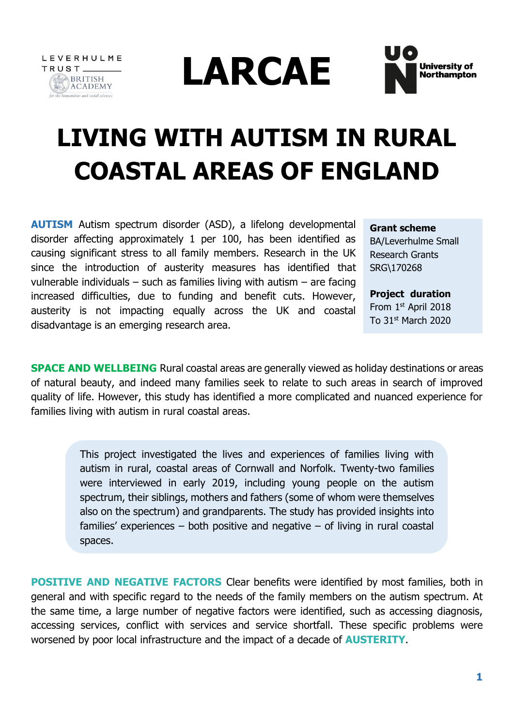





# **LIVING WITH AUTISM IN RURAL COASTAL AREAS OF ENGLAND**

**AUTISM** Autism spectrum disorder (ASD), a lifelong developmental disorder affecting approximately 1 per 100, has been identified as causing significant stress to all family members. Research in the UK since the introduction of austerity measures has identified that vulnerable individuals  $-$  such as families living with autism  $-$  are facing increased difficulties, due to funding and benefit cuts. However, austerity is not impacting equally across the UK and coastal disadvantage is an emerging research area.

**Grant scheme** 

BA/Leverhulme Small Research Grants SRG\170268

**Project duration**  From 1<sup>st</sup> April 2018 To  $31<sup>st</sup>$  March 2020

**SPACE AND WELLBEING** Rural coastal areas are generally viewed as holiday destinations or areas of natural beauty, and indeed many families seek to relate to such areas in search of improved quality of life. However, this study has identified a more complicated and nuanced experience for families living with autism in rural coastal areas.

> This project investigated the lives and experiences of families living with autism in rural, coastal areas of Cornwall and Norfolk. Twenty-two families were interviewed in early 2019, including young people on the autism spectrum, their siblings, mothers and fathers (some of whom were themselves also on the spectrum) and grandparents. The study has provided insights into families' experiences – both positive and negative – of living in rural coastal spaces.

**POSITIVE AND NEGATIVE FACTORS** Clear benefits were identified by most families, both in general and with specific regard to the needs of the family members on the autism spectrum. At the same time, a large number of negative factors were identified, such as accessing diagnosis, accessing services, conflict with services and service shortfall. These specific problems were worsened by poor local infrastructure and the impact of a decade of **AUSTERITY**.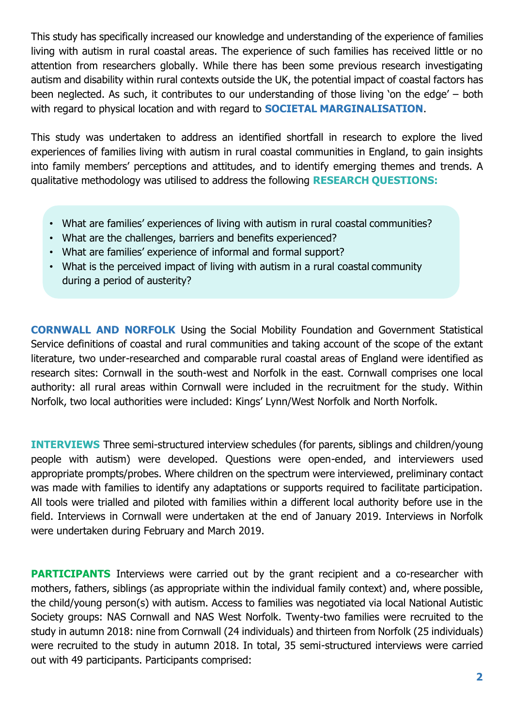This study has specifically increased our knowledge and understanding of the experience of families living with autism in rural coastal areas. The experience of such families has received little or no attention from researchers globally. While there has been some previous research investigating autism and disability within rural contexts outside the UK, the potential impact of coastal factors has been neglected. As such, it contributes to our understanding of those living 'on the edge' – both with regard to physical location and with regard to **SOCIETAL MARGINALISATION**.

This study was undertaken to address an identified shortfall in research to explore the lived experiences of families living with autism in rural coastal communities in England, to gain insights into family members' perceptions and attitudes, and to identify emerging themes and trends. A qualitative methodology was utilised to address the following **RESEARCH QUESTIONS:**

- What are families' experiences of living with autism in rural coastal communities?
- What are the challenges, barriers and benefits experienced?
- What are families' experience of informal and formal support?
- What is the perceived impact of living with autism in a rural coastal community during a period of austerity?

**CORNWALL AND NORFOLK** Using the Social Mobility Foundation and Government Statistical Service definitions of coastal and rural communities and taking account of the scope of the extant literature, two under-researched and comparable rural coastal areas of England were identified as research sites: Cornwall in the south-west and Norfolk in the east. Cornwall comprises one local authority: all rural areas within Cornwall were included in the recruitment for the study. Within Norfolk, two local authorities were included: Kings' Lynn/West Norfolk and North Norfolk.

**INTERVIEWS** Three semi-structured interview schedules (for parents, siblings and children/young people with autism) were developed. Questions were open-ended, and interviewers used appropriate prompts/probes. Where children on the spectrum were interviewed, preliminary contact was made with families to identify any adaptations or supports required to facilitate participation. All tools were trialled and piloted with families within a different local authority before use in the field. Interviews in Cornwall were undertaken at the end of January 2019. Interviews in Norfolk were undertaken during February and March 2019.

**PARTICIPANTS** Interviews were carried out by the grant recipient and a co-researcher with mothers, fathers, siblings (as appropriate within the individual family context) and, where possible, the child/young person(s) with autism. Access to families was negotiated via local National Autistic Society groups: NAS Cornwall and NAS West Norfolk. Twenty-two families were recruited to the study in autumn 2018: nine from Cornwall (24 individuals) and thirteen from Norfolk (25 individuals) were recruited to the study in autumn 2018. In total, 35 semi-structured interviews were carried out with 49 participants. Participants comprised: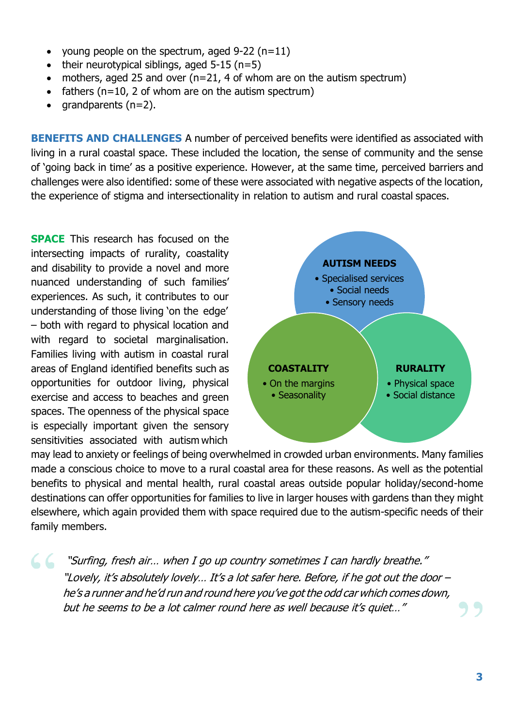- young people on the spectrum, aged  $9-22$  (n=11)
- their neurotypical siblings, aged  $5-15$  (n=5)
- mothers, aged 25 and over  $(n=21, 4$  of whom are on the autism spectrum)
- fathers ( $n=10$ , 2 of whom are on the autism spectrum)
- grandparents  $(n=2)$ .

**BENEFITS AND CHALLENGES** A number of perceived benefits were identified as associated with living in a rural coastal space. These included the location, the sense of community and the sense of 'going back in time' as a positive experience. However, at the same time, perceived barriers and challenges were also identified: some of these were associated with negative aspects of the location, the experience of stigma and intersectionality in relation to autism and rural coastal spaces.

**SPACE** This research has focused on the intersecting impacts of rurality, coastality and disability to provide a novel and more nuanced understanding of such families' experiences. As such, it contributes to our understanding of those living 'on the edge' – both with regard to physical location and with regard to societal marginalisation. Families living with autism in coastal rural areas of England identified benefits such as opportunities for outdoor living, physical exercise and access to beaches and green spaces. The openness of the physical space is especially important given the sensory sensitivities associated with autism which



may lead to anxiety or feelings of being overwhelmed in crowded urban environments. Many families made a conscious choice to move to a rural coastal area for these reasons. As well as the potential benefits to physical and mental health, rural coastal areas outside popular holiday/second-home destinations can offer opportunities for families to live in larger houses with gardens than they might elsewhere, which again provided them with space required due to the autism-specific needs of their family members.

 "Surfing, fresh air… when I go up country sometimes I can hardly breathe." "Lovely, it's absolutely lovely… It's <sup>a</sup> lot safer here. Before, if he got out the door – he's <sup>a</sup> runner and he'd run and round here you've got the odd car which comes down, but he seems to be a lot calmer round here as well because it's quiet…"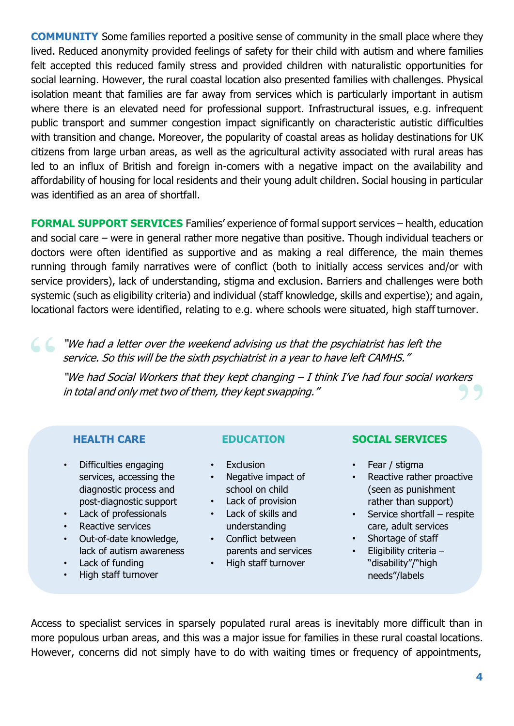**COMMUNITY** Some families reported a positive sense of community in the small place where they lived. Reduced anonymity provided feelings of safety for their child with autism and where families felt accepted this reduced family stress and provided children with naturalistic opportunities for social learning. However, the rural coastal location also presented families with challenges. Physical isolation meant that families are far away from services which is particularly important in autism where there is an elevated need for professional support. Infrastructural issues, e.g. infrequent public transport and summer congestion impact significantly on characteristic autistic difficulties with transition and change. Moreover, the popularity of coastal areas as holiday destinations for UK citizens from large urban areas, as well as the agricultural activity associated with rural areas has led to an influx of British and foreign in-comers with a negative impact on the availability and affordability of housing for local residents and their young adult children. Social housing in particular was identified as an area of shortfall.

**FORMAL SUPPORT SERVICES** Families' experience of formal support services – health, education and social care – were in general rather more negative than positive. Though individual teachers or doctors were often identified as supportive and as making a real difference, the main themes running through family narratives were of conflict (both to initially access services and/or with service providers), lack of understanding, stigma and exclusion. Barriers and challenges were both systemic (such as eligibility criteria) and individual (staff knowledge, skills and expertise); and again, locational factors were identified, relating to e.g. where schools were situated, high staff turnover.

 "We had a letter over the weekend advising us that the psychiatrist has left the service. So this will be the sixth psychiatrist in <sup>a</sup> year to have left CAMHS."

"We had Social Workers that they kept changing – I think I've had four social workers in total and only met two of them, they kept swapping."

- Difficulties engaging services, accessing the diagnostic process and post-diagnostic support
- Lack of professionals
- Reactive services
- Out-of-date knowledge, lack of autism awareness
- Lack of funding
- High staff turnover

- **Exclusion**
- Negative impact of school on child
- Lack of provision
- Lack of skills and understanding
- Conflict between parents and services
- High staff turnover

# **HEALTH CARE EDUCATION SOCIAL SERVICES**

- Fear / stigma
- Reactive rather proactive (seen as punishment rather than support)
- Service shortfall respite care, adult services
- Shortage of staff
- Eligibility criteria "disability"/"high needs"/labels

Access to specialist services in sparsely populated rural areas is inevitably more difficult than in more populous urban areas, and this was a major issue for families in these rural coastal locations. However, concerns did not simply have to do with waiting times or frequency of appointments,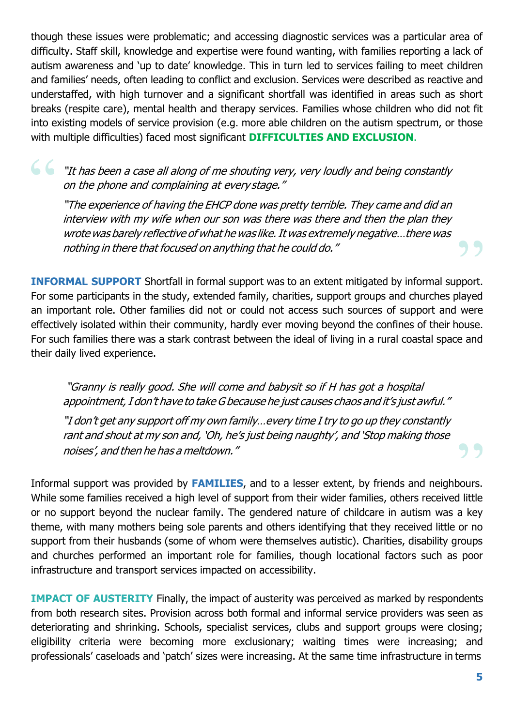though these issues were problematic; and accessing diagnostic services was a particular area of difficulty. Staff skill, knowledge and expertise were found wanting, with families reporting a lack of autism awareness and 'up to date' knowledge. This in turn led to services failing to meet children and families' needs, often leading to conflict and exclusion. Services were described as reactive and understaffed, with high turnover and a significant shortfall was identified in areas such as short breaks (respite care), mental health and therapy services. Families whose children who did not fit into existing models of service provision (e.g. more able children on the autism spectrum, or those with multiple difficulties) faced most significant **DIFFICULTIES AND EXCLUSION**.

 "It has been <sup>a</sup> case all along of me shouting very, very loudly and being constantly on the phone and complaining at every stage."

"The experience of having the EHCP done was pretty terrible. They came and did an interview with my wife when our son was there was there and then the plan they wrote was barely reflective of what he was like.It was extremely negative…there was nothing in there that focused on anything that he could do."

**INFORMAL SUPPORT** Shortfall in formal support was to an extent mitigated by informal support. For some participants in the study, extended family, charities, support groups and churches played an important role. Other families did not or could not access such sources of support and were effectively isolated within their community, hardly ever moving beyond the confines of their house. For such families there was a stark contrast between the ideal of living in a rural coastal space and their daily lived experience.

"Granny is really good. She will come and babysit so if H has got a hospital appointment, I don't have to take G because he just causes chaos and it's just awful."

"I don't get any support off my own family…every time I try to go up they constantly rant and shout at my son and, 'Oh, he's just being naughty', and 'Stop making those noises', and then he has <sup>a</sup> meltdown."

Informal support was provided by **FAMILIES**, and to a lesser extent, by friends and neighbours. While some families received a high level of support from their wider families, others received little or no support beyond the nuclear family. The gendered nature of childcare in autism was a key theme, with many mothers being sole parents and others identifying that they received little or no support from their husbands (some of whom were themselves autistic). Charities, disability groups and churches performed an important role for families, though locational factors such as poor infrastructure and transport services impacted on accessibility.

**IMPACT OF AUSTERITY** Finally, the impact of austerity was perceived as marked by respondents from both research sites. Provision across both formal and informal service providers was seen as deteriorating and shrinking. Schools, specialist services, clubs and support groups were closing; eligibility criteria were becoming more exclusionary; waiting times were increasing; and professionals' caseloads and 'patch' sizes were increasing. At the same time infrastructure in terms

99